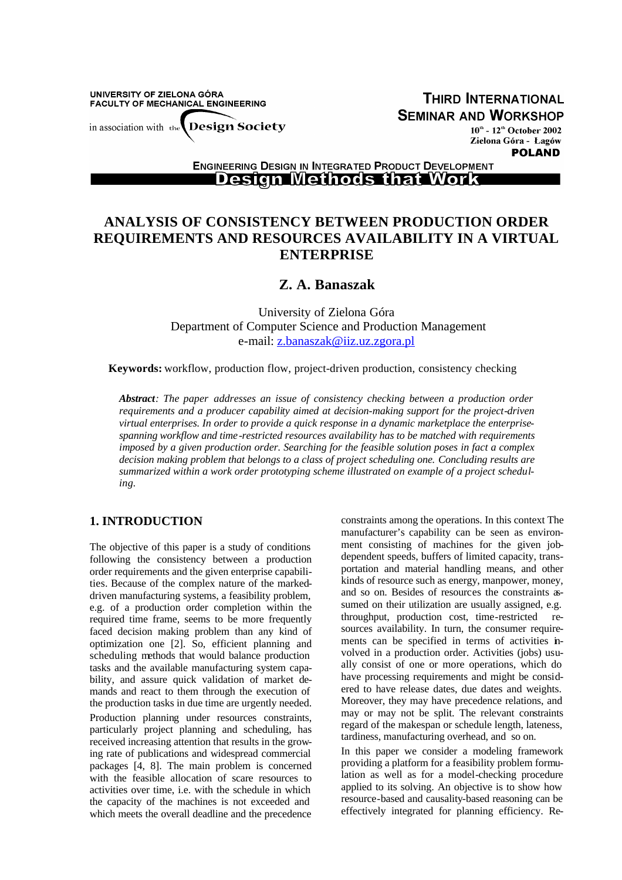UNIVERSITY OF ZIELONA GÓRA FACULTY OF MECHANICAL ENGINEERING in association with the Design Society

**THIRD INTERNATIONAL SEMINAR AND WORKSHOP** 

 $10^{\text{th}}$  -  $12^{\text{th}}$  October 2002 Zielona Góra - Łagów **POLAND** 

**ENGINEERING DESIGN IN INTEGRATED PRODUCT DEVELOPMENT** <u> Design Methods that Work </u>

# **ANALYSIS OF CONSISTENCY BETWEEN PRODUCTION ORDER REQUIREMENTS AND RESOURCES AVAILABILITY IN A VIRTUAL ENTERPRISE**

# **Z. A. Banaszak**

University of Zielona Góra Department of Computer Science and Production Management e-mail: z.banaszak@iiz.uz.zgora.pl

**Keywords:** workflow, production flow, project-driven production, consistency checking

*Abstract: The paper addresses an issue of consistency checking between a production order requirements and a producer capability aimed at decision-making support for the project-driven virtual enterprises. In order to provide a quick response in a dynamic marketplace the enterprisespanning workflow and time-restricted resources availability has to be matched with requirements imposed by a given production order. Searching for the feasible solution poses in fact a complex decision making problem that belongs to a class of project scheduling one. Concluding results are summarized within a work order prototyping scheme illustrated on example of a project scheduling.*

## **1. INTRODUCTION**

The objective of this paper is a study of conditions following the consistency between a production order requirements and the given enterprise capabilities. Because of the complex nature of the markeddriven manufacturing systems, a feasibility problem, e.g. of a production order completion within the required time frame, seems to be more frequently faced decision making problem than any kind of optimization one [2]. So, efficient planning and scheduling methods that would balance production tasks and the available manufacturing system capability, and assure quick validation of market demands and react to them through the execution of the production tasks in due time are urgently needed. Production planning under resources constraints, particularly project planning and scheduling, has received increasing attention that results in the growing rate of publications and widespread commercial packages [4, 8]. The main problem is concerned with the feasible allocation of scare resources to activities over time, i.e. with the schedule in which the capacity of the machines is not exceeded and which meets the overall deadline and the precedence

constraints among the operations. In this context The manufacturer's capability can be seen as environment consisting of machines for the given jobdependent speeds, buffers of limited capacity, transportation and material handling means, and other kinds of resource such as energy, manpower, money, and so on. Besides of resources the constraints assumed on their utilization are usually assigned, e.g. throughput, production cost, time-restricted resources availability. In turn, the consumer requirements can be specified in terms of activities involved in a production order. Activities (jobs) usually consist of one or more operations, which do have processing requirements and might be considered to have release dates, due dates and weights. Moreover, they may have precedence relations, and may or may not be split. The relevant constraints regard of the makespan or schedule length, lateness, tardiness, manufacturing overhead, and so on.

In this paper we consider a modeling framework providing a platform for a feasibility problem formulation as well as for a model-checking procedure applied to its solving. An objective is to show how resource-based and causality-based reasoning can be effectively integrated for planning efficiency. Re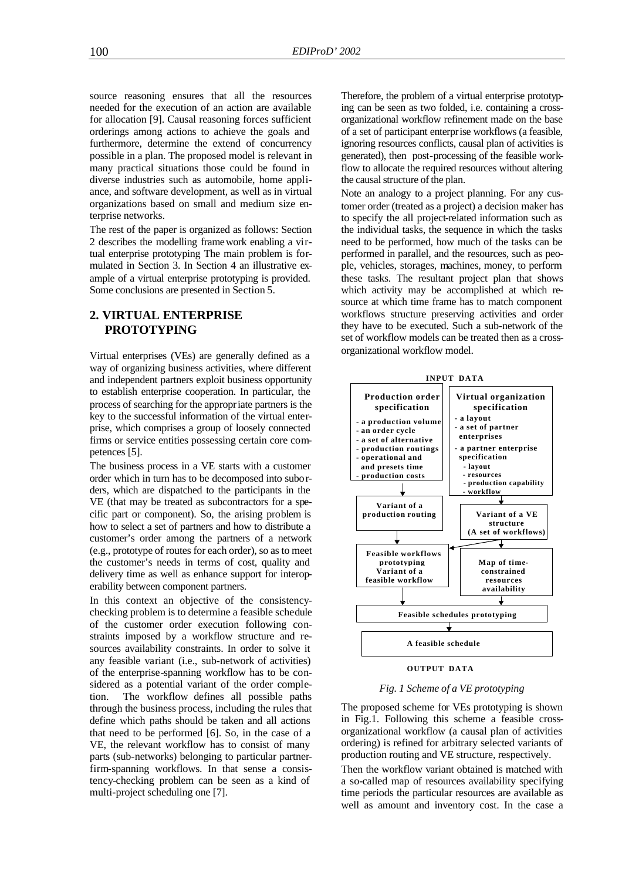source reasoning ensures that all the resources needed for the execution of an action are available for allocation [9]. Causal reasoning forces sufficient orderings among actions to achieve the goals and furthermore, determine the extend of concurrency possible in a plan. The proposed model is relevant in many practical situations those could be found in diverse industries such as automobile, home appliance, and software development, as well as in virtual organizations based on small and medium size enterprise networks.

The rest of the paper is organized as follows: Section 2 describes the modelling framework enabling a virtual enterprise prototyping The main problem is formulated in Section 3. In Section 4 an illustrative example of a virtual enterprise prototyping is provided. Some conclusions are presented in Section 5.

# **2. VIRTUAL ENTERPRISE PROTOTYPING**

Virtual enterprises (VEs) are generally defined as a way of organizing business activities, where different and independent partners exploit business opportunity to establish enterprise cooperation. In particular, the process of searching for the appropriate partners is the key to the successful information of the virtual enterprise, which comprises a group of loosely connected firms or service entities possessing certain core competences [5].

The business process in a VE starts with a customer order which in turn has to be decomposed into suborders, which are dispatched to the participants in the VE (that may be treated as subcontractors for a specific part or component). So, the arising problem is how to select a set of partners and how to distribute a customer's order among the partners of a network (e.g., prototype of routes for each order), so as to meet the customer's needs in terms of cost, quality and delivery time as well as enhance support for interoperability between component partners.

In this context an objective of the consistencychecking problem is to determine a feasible schedule of the customer order execution following constraints imposed by a workflow structure and resources availability constraints. In order to solve it any feasible variant (i.e., sub-network of activities) of the enterprise-spanning workflow has to be considered as a potential variant of the order completion. The workflow defines all possible paths through the business process, including the rules that define which paths should be taken and all actions that need to be performed [6]. So, in the case of a VE, the relevant workflow has to consist of many parts (sub-networks) belonging to particular partnerfirm-spanning workflows. In that sense a consistency-checking problem can be seen as a kind of multi-project scheduling one [7].

Therefore, the problem of a virtual enterprise prototyping can be seen as two folded, i.e. containing a crossorganizational workflow refinement made on the base of a set of participant enterprise workflows (a feasible, ignoring resources conflicts, causal plan of activities is generated), then post-processing of the feasible workflow to allocate the required resources without altering the causal structure of the plan.

Note an analogy to a project planning. For any customer order (treated as a project) a decision maker has to specify the all project-related information such as the individual tasks, the sequence in which the tasks need to be performed, how much of the tasks can be performed in parallel, and the resources, such as people, vehicles, storages, machines, money, to perform these tasks. The resultant project plan that shows which activity may be accomplished at which resource at which time frame has to match component workflows structure preserving activities and order they have to be executed. Such a sub-network of the set of workflow models can be treated then as a crossorganizational workflow model.



### **OUTPUT DATA**

#### *Fig. 1 Scheme of a VE prototyping*

The proposed scheme for VEs prototyping is shown in Fig.1. Following this scheme a feasible crossorganizational workflow (a causal plan of activities ordering) is refined for arbitrary selected variants of production routing and VE structure, respectively.

Then the workflow variant obtained is matched with a so-called map of resources availability specifying time periods the particular resources are available as well as amount and inventory cost. In the case a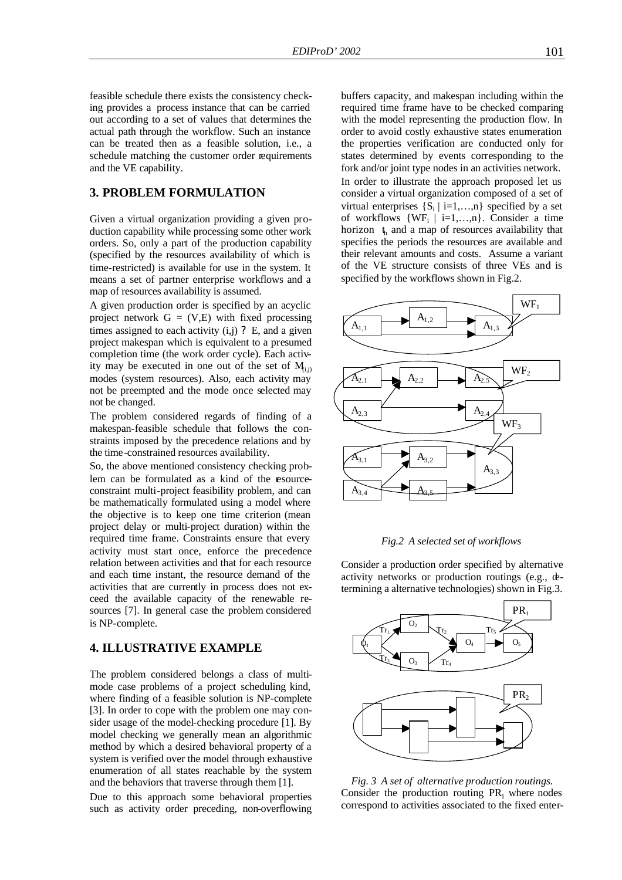feasible schedule there exists the consistency checking provides a process instance that can be carried out according to a set of values that determines the actual path through the workflow. Such an instance can be treated then as a feasible solution, i.e., a schedule matching the customer order requirements and the VE capability.

### **3. PROBLEM FORMULATION**

Given a virtual organization providing a given production capability while processing some other work orders. So, only a part of the production capability (specified by the resources availability of which is time-restricted) is available for use in the system. It means a set of partner enterprise workflows and a map of resources availability is assumed.

A given production order is specified by an acyclic project network  $G = (V,E)$  with fixed processing times assigned to each activity  $(i, j)$  ? E, and a given project makespan which is equivalent to a presumed completion time (the work order cycle). Each activity may be executed in one out of the set of  $M_{i,j}$ modes (system resources). Also, each activity may not be preempted and the mode once selected may not be changed.

The problem considered regards of finding of a makespan-feasible schedule that follows the constraints imposed by the precedence relations and by the time-constrained resources availability.

So, the above mentioned consistency checking problem can be formulated as a kind of the esourceconstraint multi-project feasibility problem, and can be mathematically formulated using a model where the objective is to keep one time criterion (mean project delay or multi-project duration) within the required time frame. Constraints ensure that every activity must start once, enforce the precedence relation between activities and that for each resource and each time instant, the resource demand of the activities that are currently in process does not exceed the available capacity of the renewable resources [7]. In general case the problem considered is NP-complete.

## **4. ILLUSTRATIVE EXAMPLE**

The problem considered belongs a class of multimode case problems of a project scheduling kind, where finding of a feasible solution is NP-complete [3]. In order to cope with the problem one may consider usage of the model-checking procedure [1]. By model checking we generally mean an algorithmic method by which a desired behavioral property of a system is verified over the model through exhaustive enumeration of all states reachable by the system and the behaviors that traverse through them [1].

Due to this approach some behavioral properties such as activity order preceding, non-overflowing

buffers capacity, and makespan including within the required time frame have to be checked comparing with the model representing the production flow. In order to avoid costly exhaustive states enumeration the properties verification are conducted only for states determined by events corresponding to the fork and/or joint type nodes in an activities network. In order to illustrate the approach proposed let us consider a virtual organization composed of a set of virtual enterprises  $\{S_i | i=1,...,n\}$  specified by a set of workflows  $\{WF_i \mid i=1,...,n\}$ . Consider a time horizon  $t<sub>h</sub>$  and a map of resources availability that specifies the periods the resources are available and their relevant amounts and costs. Assume a variant of the VE structure consists of three VEs and is specified by the workflows shown in Fig.2.





Consider a production order specified by alternative activity networks or production routings (e.g., determining a alternative technologies) shown in Fig.3.



*Fig. 3 A set of alternative production routings.* Consider the production routing  $PR_1$  where nodes correspond to activities associated to the fixed enter-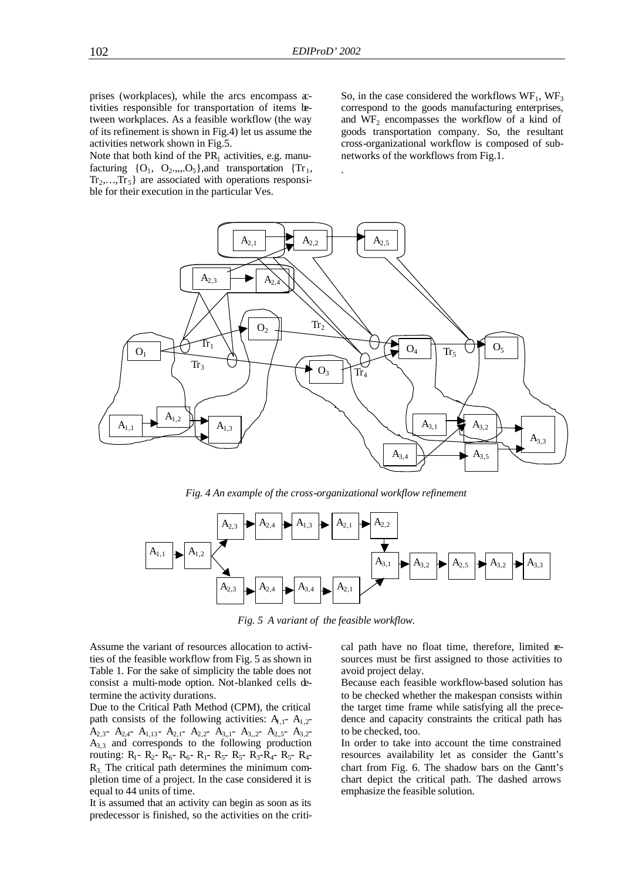.

prises (workplaces), while the arcs encompass  $x$ tivities responsible for transportation of items between workplaces. As a feasible workflow (the way of its refinement is shown in Fig.4) let us assume the activities network shown in Fig.5.

Note that both kind of the  $PR_1$  activities, e.g. manufacturing  ${O_1, O_2, ..., O_5}$ , and transportation  ${Tr_1,$  $Tr_2, \ldots, Tr_5$  are associated with operations responsible for their execution in the particular Ves.

So, in the case considered the workflows  $WF_1$ ,  $WF_3$ correspond to the goods manufacturing enterprises, and  $WF<sub>2</sub>$  encompasses the workflow of a kind of goods transportation company. So, the resultant cross-organizational workflow is composed of subnetworks of the workflows from Fig.1.



*Fig. 4 An example of the cross-organizational workflow refinement*



*Fig. 5 A variant of the feasible workflow.*

Assume the variant of resources allocation to activities of the feasible workflow from Fig. 5 as shown in Table 1. For the sake of simplicity the table does not consist a multi-mode option. Not-blanked cells determine the activity durations.

Due to the Critical Path Method (CPM), the critical path consists of the following activities:  $A_{1,1}$ -  $A_{1,2}$ - $A_{2,3}$ -  $A_{2,4}$ -  $A_{1,13}$ -  $A_{2,1}$ -  $A_{2,2}$ -  $A_{3,1}$ -  $A_{3,2}$ -  $A_{2,5}$ -  $A_{3,2}$ - $A_{3,3}$  and corresponds to the following production routing:  $R_1$ -  $R_2$ -  $R_6$ -  $R_6$ -  $R_1$ -  $R_5$ -  $R_5$ -  $R_3$ - $R_4$ -  $R_5$ -  $R_4$ - $R<sub>3</sub>$ . The critical path determines the minimum completion time of a project. In the case considered it is equal to 44 units of time.

It is assumed that an activity can begin as soon as its predecessor is finished, so the activities on the critical path have no float time, therefore, limited resources must be first assigned to those activities to avoid project delay.

Because each feasible workflow-based solution has to be checked whether the makespan consists within the target time frame while satisfying all the precedence and capacity constraints the critical path has to be checked, too.

In order to take into account the time constrained resources availability let as consider the Gantt's chart from Fig. 6. The shadow bars on the Gantt's chart depict the critical path. The dashed arrows emphasize the feasible solution.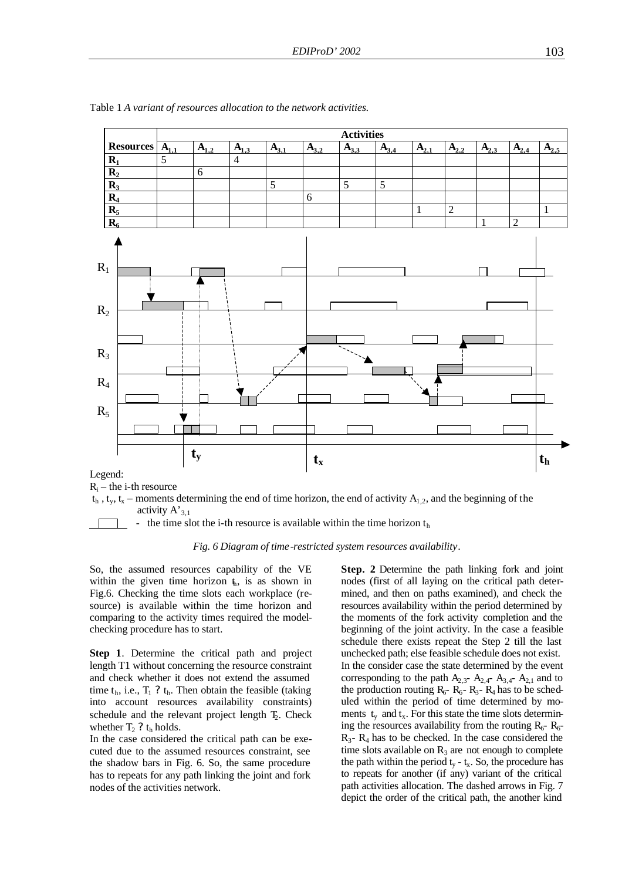

Table 1 *A variant of resources allocation to the network activities.*

 $R_i$  – the i-th resource



- the time slot the i-th resource is available within the time horizon  $t<sub>h</sub>$ 

#### *Fig. 6 Diagram of time-restricted system resources availability*.

So, the assumed resources capability of the VE within the given time horizon  $t<sub>h</sub>$ , is as shown in Fig.6. Checking the time slots each workplace (resource) is available within the time horizon and comparing to the activity times required the modelchecking procedure has to start.

**Step 1**. Determine the critical path and project length T1 without concerning the resource constraint and check whether it does not extend the assumed time  $t_h$ , i.e.,  $T_1$  ?  $t_h$ . Then obtain the feasible (taking into account resources availability constraints) schedule and the relevant project length  $T_2$ . Check whether  $T_2$ ?  $t_h$  holds.

In the case considered the critical path can be executed due to the assumed resources constraint, see the shadow bars in Fig. 6. So, the same procedure has to repeats for any path linking the joint and fork nodes of the activities network.

**Step. 2** Determine the path linking fork and joint nodes (first of all laying on the critical path determined, and then on paths examined), and check the resources availability within the period determined by the moments of the fork activity completion and the beginning of the joint activity. In the case a feasible schedule there exists repeat the Step 2 till the last unchecked path; else feasible schedule does not exist. In the consider case the state determined by the event corresponding to the path  $A_{2,3}$ -  $A_{2,4}$ -  $A_{3,4}$ -  $A_{2,1}$  and to the production routing  $R_6$ -  $R_6$ -  $R_3$ -  $R_4$  has to be scheduled within the period of time determined by moments  $t_y$  and  $t_x$ . For this state the time slots determining the resources availability from the routing  $R_6$ -  $R_6$ - $R_3$ -  $R_4$  has to be checked. In the case considered the time slots available on  $R_3$  are not enough to complete the path within the period  $t_y - t_x$ . So, the procedure has to repeats for another (if any) variant of the critical path activities allocation. The dashed arrows in Fig. 7 depict the order of the critical path, the another kind